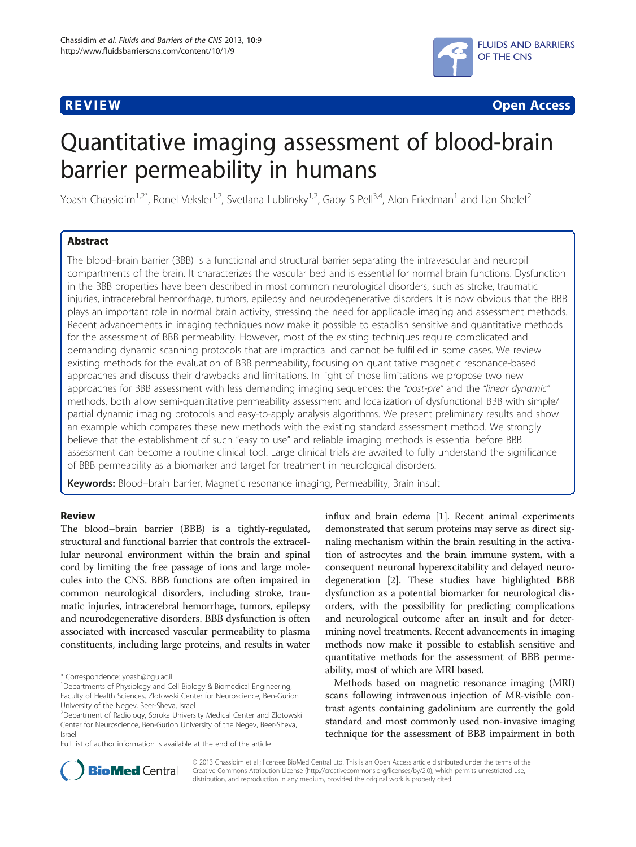

**REVIEW CONSTRUCTION CONSTRUCTION CONSTRUCTS** 

# Quantitative imaging assessment of blood-brain barrier permeability in humans

Yoash Chassidim<sup>1,2\*</sup>, Ronel Veksler<sup>1,2</sup>, Svetlana Lublinsky<sup>1,2</sup>, Gaby S Pell<sup>3,4</sup>, Alon Friedman<sup>1</sup> and Ilan Shelef<sup>2</sup>

# Abstract

The blood–brain barrier (BBB) is a functional and structural barrier separating the intravascular and neuropil compartments of the brain. It characterizes the vascular bed and is essential for normal brain functions. Dysfunction in the BBB properties have been described in most common neurological disorders, such as stroke, traumatic injuries, intracerebral hemorrhage, tumors, epilepsy and neurodegenerative disorders. It is now obvious that the BBB plays an important role in normal brain activity, stressing the need for applicable imaging and assessment methods. Recent advancements in imaging techniques now make it possible to establish sensitive and quantitative methods for the assessment of BBB permeability. However, most of the existing techniques require complicated and demanding dynamic scanning protocols that are impractical and cannot be fulfilled in some cases. We review existing methods for the evaluation of BBB permeability, focusing on quantitative magnetic resonance-based approaches and discuss their drawbacks and limitations. In light of those limitations we propose two new approaches for BBB assessment with less demanding imaging sequences: the "post-pre" and the "linear dynamic" methods, both allow semi-quantitative permeability assessment and localization of dysfunctional BBB with simple/ partial dynamic imaging protocols and easy-to-apply analysis algorithms. We present preliminary results and show an example which compares these new methods with the existing standard assessment method. We strongly believe that the establishment of such "easy to use" and reliable imaging methods is essential before BBB assessment can become a routine clinical tool. Large clinical trials are awaited to fully understand the significance of BBB permeability as a biomarker and target for treatment in neurological disorders.

Keywords: Blood-brain barrier, Magnetic resonance imaging, Permeability, Brain insult

### Review

The blood–brain barrier (BBB) is a tightly-regulated, structural and functional barrier that controls the extracellular neuronal environment within the brain and spinal cord by limiting the free passage of ions and large molecules into the CNS. BBB functions are often impaired in common neurological disorders, including stroke, traumatic injuries, intracerebral hemorrhage, tumors, epilepsy and neurodegenerative disorders. BBB dysfunction is often associated with increased vascular permeability to plasma constituents, including large proteins, and results in water

influx and brain edema [1]. Recent animal experiments demonstrated that serum proteins may serve as direct signaling mechanism within the brain resulting in the activation of astrocytes and the brain immune system, with a consequent neuronal hyperexcitability and delayed neurodegeneration [2]. These studies have highlighted BBB dysfunction as a potential biomarker for neurological disorders, with the possibility for predicting complications and neurological outcome after an insult and for determining novel treatments. Recent advancements in imaging methods now make it possible to establish sensitive and quantitative methods for the assessment of BBB permeability, most of which are MRI based.

Methods based on magnetic resonance imaging (MRI) scans following intravenous injection of MR-visible contrast agents containing gadolinium are currently the gold standard and most commonly used non-invasive imaging technique for the assessment of BBB impairment in both



© 2013 Chassidim et al.; licensee BioMed Central Ltd. This is an Open Access article distributed under the terms of the Creative Commons Attribution License (http://creativecommons.org/licenses/by/2.0), which permits unrestricted use, distribution, and reproduction in any medium, provided the original work is properly cited.

<sup>\*</sup> Correspondence: yoash@bgu.ac.il <sup>1</sup>

<sup>&</sup>lt;sup>1</sup>Departments of Physiology and Cell Biology & Biomedical Engineering, Faculty of Health Sciences, Zlotowski Center for Neuroscience, Ben-Gurion University of the Negev, Beer-Sheva, Israel

<sup>&</sup>lt;sup>2</sup> Department of Radiology, Soroka University Medical Center and Zlotowski Center for Neuroscience, Ben-Gurion University of the Negev, Beer-Sheva, Israel

Full list of author information is available at the end of the article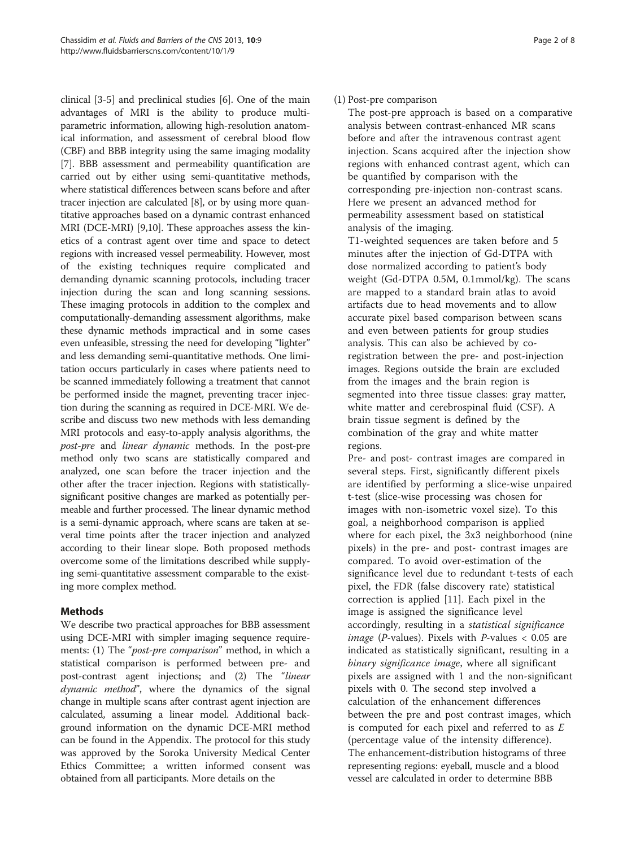clinical [3-5] and preclinical studies [6]. One of the main advantages of MRI is the ability to produce multiparametric information, allowing high-resolution anatomical information, and assessment of cerebral blood flow (CBF) and BBB integrity using the same imaging modality [7]. BBB assessment and permeability quantification are carried out by either using semi-quantitative methods, where statistical differences between scans before and after tracer injection are calculated [8], or by using more quantitative approaches based on a dynamic contrast enhanced MRI (DCE-MRI) [9,10]. These approaches assess the kinetics of a contrast agent over time and space to detect regions with increased vessel permeability. However, most of the existing techniques require complicated and demanding dynamic scanning protocols, including tracer injection during the scan and long scanning sessions. These imaging protocols in addition to the complex and computationally-demanding assessment algorithms, make these dynamic methods impractical and in some cases even unfeasible, stressing the need for developing "lighter" and less demanding semi-quantitative methods. One limitation occurs particularly in cases where patients need to be scanned immediately following a treatment that cannot be performed inside the magnet, preventing tracer injection during the scanning as required in DCE-MRI. We describe and discuss two new methods with less demanding MRI protocols and easy-to-apply analysis algorithms, the post-pre and linear dynamic methods. In the post-pre method only two scans are statistically compared and analyzed, one scan before the tracer injection and the other after the tracer injection. Regions with statisticallysignificant positive changes are marked as potentially permeable and further processed. The linear dynamic method is a semi-dynamic approach, where scans are taken at several time points after the tracer injection and analyzed according to their linear slope. Both proposed methods overcome some of the limitations described while supplying semi-quantitative assessment comparable to the existing more complex method.

# Methods

We describe two practical approaches for BBB assessment using DCE-MRI with simpler imaging sequence requirements: (1) The "*post-pre comparison*" method, in which a statistical comparison is performed between pre- and post-contrast agent injections; and (2) The "linear dynamic method", where the dynamics of the signal change in multiple scans after contrast agent injection are calculated, assuming a linear model. Additional background information on the dynamic DCE-MRI method can be found in the Appendix. The protocol for this study was approved by the Soroka University Medical Center Ethics Committee; a written informed consent was obtained from all participants. More details on the

# (1) Post-pre comparison

The post-pre approach is based on a comparative analysis between contrast-enhanced MR scans before and after the intravenous contrast agent injection. Scans acquired after the injection show regions with enhanced contrast agent, which can be quantified by comparison with the corresponding pre-injection non-contrast scans. Here we present an advanced method for permeability assessment based on statistical analysis of the imaging.

T1-weighted sequences are taken before and 5 minutes after the injection of Gd-DTPA with dose normalized according to patient's body weight (Gd-DTPA 0.5M, 0.1mmol/kg). The scans are mapped to a standard brain atlas to avoid artifacts due to head movements and to allow accurate pixel based comparison between scans and even between patients for group studies analysis. This can also be achieved by coregistration between the pre- and post-injection images. Regions outside the brain are excluded from the images and the brain region is segmented into three tissue classes: gray matter, white matter and cerebrospinal fluid (CSF). A brain tissue segment is defined by the combination of the gray and white matter regions.

Pre- and post- contrast images are compared in several steps. First, significantly different pixels are identified by performing a slice-wise unpaired t-test (slice-wise processing was chosen for images with non-isometric voxel size). To this goal, a neighborhood comparison is applied where for each pixel, the 3x3 neighborhood (nine pixels) in the pre- and post- contrast images are compared. To avoid over-estimation of the significance level due to redundant t-tests of each pixel, the FDR (false discovery rate) statistical correction is applied [11]. Each pixel in the image is assigned the significance level accordingly, resulting in a statistical significance *image* (*P*-values). Pixels with *P*-values  $< 0.05$  are indicated as statistically significant, resulting in a binary significance image, where all significant pixels are assigned with 1 and the non-significant pixels with 0. The second step involved a calculation of the enhancement differences between the pre and post contrast images, which is computed for each pixel and referred to as  $E$ (percentage value of the intensity difference). The enhancement-distribution histograms of three representing regions: eyeball, muscle and a blood vessel are calculated in order to determine BBB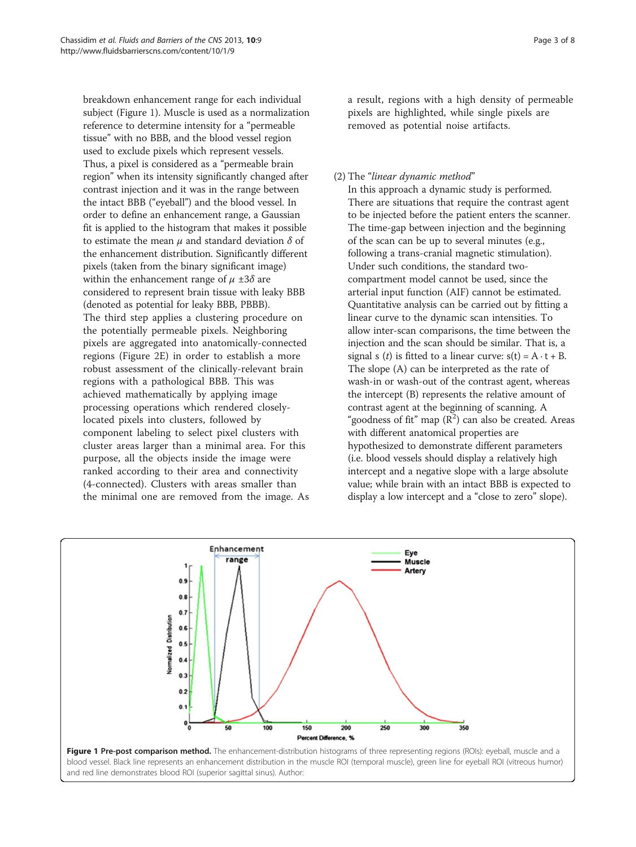breakdown enhancement range for each individual subject (Figure 1). Muscle is used as a normalization reference to determine intensity for a "permeable tissue" with no BBB, and the blood vessel region used to exclude pixels which represent vessels. Thus, a pixel is considered as a "permeable brain region" when its intensity significantly changed after contrast injection and it was in the range between the intact BBB ("eyeball") and the blood vessel. In order to define an enhancement range, a Gaussian fit is applied to the histogram that makes it possible to estimate the mean  $\mu$  and standard deviation  $\delta$  of the enhancement distribution. Significantly different pixels (taken from the binary significant image) within the enhancement range of  $\mu \pm 3\delta$  are considered to represent brain tissue with leaky BBB (denoted as potential for leaky BBB, PBBB). The third step applies a clustering procedure on the potentially permeable pixels. Neighboring pixels are aggregated into anatomically-connected regions (Figure 2E) in order to establish a more robust assessment of the clinically-relevant brain regions with a pathological BBB. This was achieved mathematically by applying image processing operations which rendered closelylocated pixels into clusters, followed by component labeling to select pixel clusters with cluster areas larger than a minimal area. For this purpose, all the objects inside the image were ranked according to their area and connectivity (4-connected). Clusters with areas smaller than the minimal one are removed from the image. As a result, regions with a high density of permeable pixels are highlighted, while single pixels are removed as potential noise artifacts.

# (2) The "linear dynamic method"

In this approach a dynamic study is performed. There are situations that require the contrast agent to be injected before the patient enters the scanner. The time-gap between injection and the beginning of the scan can be up to several minutes (e.g., following a trans-cranial magnetic stimulation). Under such conditions, the standard twocompartment model cannot be used, since the arterial input function (AIF) cannot be estimated. Quantitative analysis can be carried out by fitting a linear curve to the dynamic scan intensities. To allow inter-scan comparisons, the time between the injection and the scan should be similar. That is, a signal s (t) is fitted to a linear curve:  $s(t) = A \cdot t + B$ . The slope (A) can be interpreted as the rate of wash-in or wash-out of the contrast agent, whereas the intercept (B) represents the relative amount of contrast agent at the beginning of scanning. A "goodness of fit" map  $(R^2)$  can also be created. Areas with different anatomical properties are hypothesized to demonstrate different parameters (i.e. blood vessels should display a relatively high intercept and a negative slope with a large absolute value; while brain with an intact BBB is expected to display a low intercept and a "close to zero" slope).

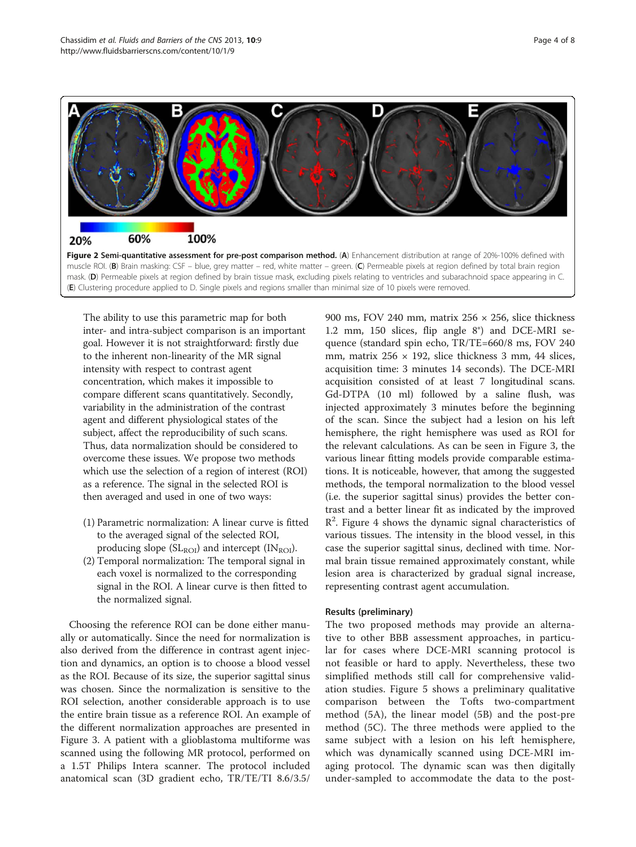

The ability to use this parametric map for both inter- and intra-subject comparison is an important goal. However it is not straightforward: firstly due to the inherent non-linearity of the MR signal intensity with respect to contrast agent concentration, which makes it impossible to compare different scans quantitatively. Secondly, variability in the administration of the contrast agent and different physiological states of the subject, affect the reproducibility of such scans. Thus, data normalization should be considered to overcome these issues. We propose two methods which use the selection of a region of interest (ROI) as a reference. The signal in the selected ROI is then averaged and used in one of two ways:

- (1) Parametric normalization: A linear curve is fitted to the averaged signal of the selected ROI, producing slope  $(SL_{ROI})$  and intercept  $(IN_{ROI})$ .
- (2) Temporal normalization: The temporal signal in each voxel is normalized to the corresponding signal in the ROI. A linear curve is then fitted to the normalized signal.

Choosing the reference ROI can be done either manually or automatically. Since the need for normalization is also derived from the difference in contrast agent injection and dynamics, an option is to choose a blood vessel as the ROI. Because of its size, the superior sagittal sinus was chosen. Since the normalization is sensitive to the ROI selection, another considerable approach is to use the entire brain tissue as a reference ROI. An example of the different normalization approaches are presented in Figure 3. A patient with a glioblastoma multiforme was scanned using the following MR protocol, performed on a 1.5T Philips Intera scanner. The protocol included anatomical scan (3D gradient echo, TR/TE/TI 8.6/3.5/

900 ms, FOV 240 mm, matrix 256  $\times$  256, slice thickness 1.2 mm, 150 slices, flip angle 8°) and DCE-MRI sequence (standard spin echo, TR/TE=660/8 ms, FOV 240 mm, matrix  $256 \times 192$ , slice thickness 3 mm, 44 slices, acquisition time: 3 minutes 14 seconds). The DCE-MRI acquisition consisted of at least 7 longitudinal scans. Gd-DTPA (10 ml) followed by a saline flush, was injected approximately 3 minutes before the beginning of the scan. Since the subject had a lesion on his left hemisphere, the right hemisphere was used as ROI for the relevant calculations. As can be seen in Figure 3, the various linear fitting models provide comparable estimations. It is noticeable, however, that among the suggested methods, the temporal normalization to the blood vessel (i.e. the superior sagittal sinus) provides the better contrast and a better linear fit as indicated by the improved R<sup>2</sup>. Figure 4 shows the dynamic signal characteristics of various tissues. The intensity in the blood vessel, in this case the superior sagittal sinus, declined with time. Normal brain tissue remained approximately constant, while lesion area is characterized by gradual signal increase, representing contrast agent accumulation.

### Results (preliminary)

The two proposed methods may provide an alternative to other BBB assessment approaches, in particular for cases where DCE-MRI scanning protocol is not feasible or hard to apply. Nevertheless, these two simplified methods still call for comprehensive validation studies. Figure 5 shows a preliminary qualitative comparison between the Tofts two-compartment method (5A), the linear model (5B) and the post-pre method (5C). The three methods were applied to the same subject with a lesion on his left hemisphere, which was dynamically scanned using DCE-MRI imaging protocol. The dynamic scan was then digitally under-sampled to accommodate the data to the post-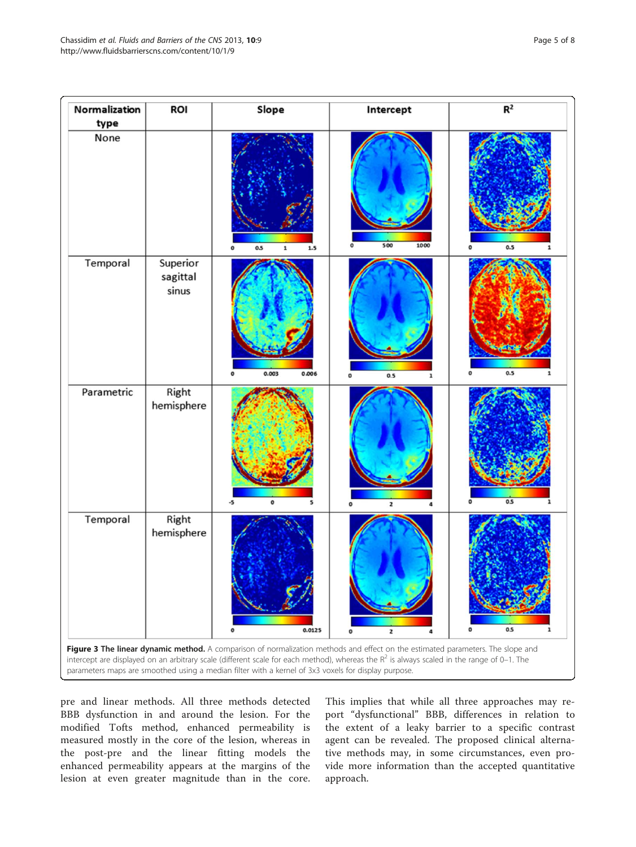

pre and linear methods. All three methods detected BBB dysfunction in and around the lesion. For the modified Tofts method, enhanced permeability is measured mostly in the core of the lesion, whereas in the post-pre and the linear fitting models the enhanced permeability appears at the margins of the lesion at even greater magnitude than in the core.

This implies that while all three approaches may report "dysfunctional" BBB, differences in relation to the extent of a leaky barrier to a specific contrast agent can be revealed. The proposed clinical alternative methods may, in some circumstances, even provide more information than the accepted quantitative approach.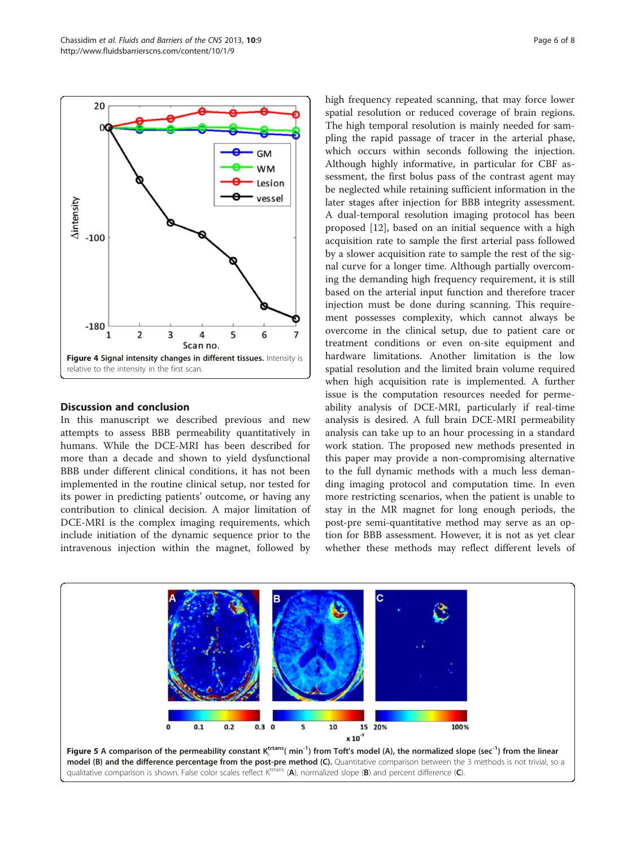

## Discussion and conclusion

In this manuscript we described previous and new attempts to assess BBB permeability quantitatively in humans. While the DCE-MRI has been described for more than a decade and shown to yield dysfunctional BBB under different clinical conditions, it has not been implemented in the routine clinical setup, nor tested for its power in predicting patients' outcome, or having any contribution to clinical decision. A major limitation of DCE-MRI is the complex imaging requirements, which include initiation of the dynamic sequence prior to the intravenous injection within the magnet, followed by

high frequency repeated scanning, that may force lower spatial resolution or reduced coverage of brain regions. The high temporal resolution is mainly needed for sampling the rapid passage of tracer in the arterial phase, which occurs within seconds following the injection. Although highly informative, in particular for CBF assessment, the first bolus pass of the contrast agent may be neglected while retaining sufficient information in the later stages after injection for BBB integrity assessment. A dual-temporal resolution imaging protocol has been proposed [12], based on an initial sequence with a high acquisition rate to sample the first arterial pass followed by a slower acquisition rate to sample the rest of the signal curve for a longer time. Although partially overcoming the demanding high frequency requirement, it is still based on the arterial input function and therefore tracer injection must be done during scanning. This requirement possesses complexity, which cannot always be overcome in the clinical setup, due to patient care or treatment conditions or even on-site equipment and hardware limitations. Another limitation is the low spatial resolution and the limited brain volume required when high acquisition rate is implemented. A further issue is the computation resources needed for permeability analysis of DCE-MRI, particularly if real-time analysis is desired. A full brain DCE-MRI permeability analysis can take up to an hour processing in a standard work station. The proposed new methods presented in this paper may provide a non-compromising alternative to the full dynamic methods with a much less demanding imaging protocol and computation time. In even more restricting scenarios, when the patient is unable to stay in the MR magnet for long enough periods, the post-pre semi-quantitative method may serve as an option for BBB assessment. However, it is not as yet clear whether these methods may reflect different levels of

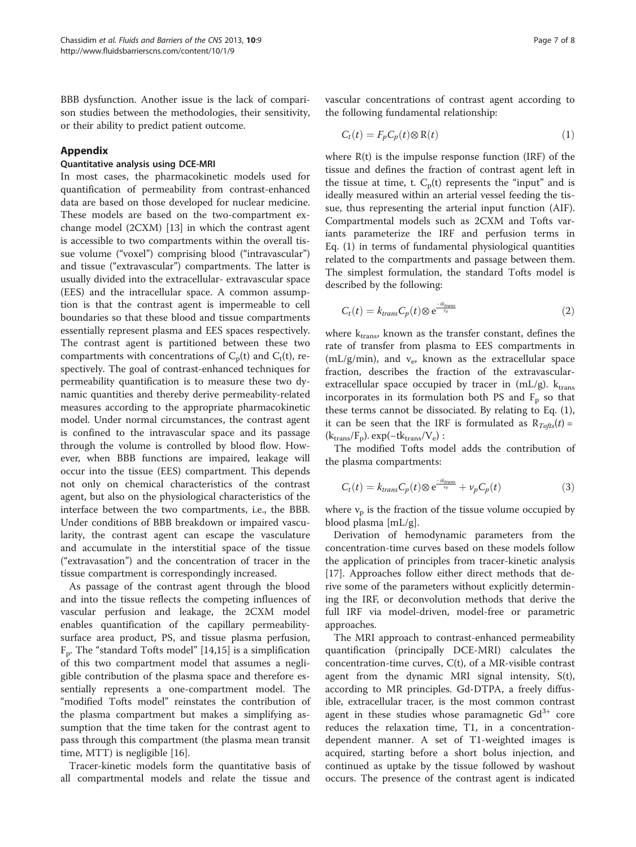BBB dysfunction. Another issue is the lack of comparison studies between the methodologies, their sensitivity, or their ability to predict patient outcome.

# Appendix

#### Quantitative analysis using DCE-MRI

In most cases, the pharmacokinetic models used for quantification of permeability from contrast-enhanced data are based on those developed for nuclear medicine. These models are based on the two-compartment exchange model (2CXM) [13] in which the contrast agent is accessible to two compartments within the overall tissue volume ("voxel") comprising blood ("intravascular") and tissue ("extravascular") compartments. The latter is usually divided into the extracellular- extravascular space (EES) and the intracellular space. A common assumption is that the contrast agent is impermeable to cell boundaries so that these blood and tissue compartments essentially represent plasma and EES spaces respectively. The contrast agent is partitioned between these two compartments with concentrations of  $C_p(t)$  and  $C_t(t)$ , respectively. The goal of contrast-enhanced techniques for permeability quantification is to measure these two dynamic quantities and thereby derive permeability-related measures according to the appropriate pharmacokinetic model. Under normal circumstances, the contrast agent is confined to the intravascular space and its passage through the volume is controlled by blood flow. However, when BBB functions are impaired, leakage will occur into the tissue (EES) compartment. This depends not only on chemical characteristics of the contrast agent, but also on the physiological characteristics of the interface between the two compartments, i.e., the BBB. Under conditions of BBB breakdown or impaired vascularity, the contrast agent can escape the vasculature and accumulate in the interstitial space of the tissue ("extravasation") and the concentration of tracer in the tissue compartment is correspondingly increased.

As passage of the contrast agent through the blood and into the tissue reflects the competing influences of vascular perfusion and leakage, the 2CXM model enables quantification of the capillary permeabilitysurface area product, PS, and tissue plasma perfusion,  $F_p$ . The "standard Tofts model" [14,15] is a simplification of this two compartment model that assumes a negligible contribution of the plasma space and therefore essentially represents a one-compartment model. The "modified Tofts model" reinstates the contribution of the plasma compartment but makes a simplifying assumption that the time taken for the contrast agent to pass through this compartment (the plasma mean transit time, MTT) is negligible [16].

Tracer-kinetic models form the quantitative basis of all compartmental models and relate the tissue and

$$
C_t(t) = F_p C_p(t) \otimes \mathbf{R}(t)
$$
\n(1)

where  $R(t)$  is the impulse response function (IRF) of the tissue and defines the fraction of contrast agent left in the tissue at time, t.  $C_p(t)$  represents the "input" and is ideally measured within an arterial vessel feeding the tissue, thus representing the arterial input function (AIF). Compartmental models such as 2CXM and Tofts variants parameterize the IRF and perfusion terms in Eq. (1) in terms of fundamental physiological quantities related to the compartments and passage between them. The simplest formulation, the standard Tofts model is described by the following:

$$
C_t(t) = k_{trans} C_p(t) \otimes e^{\frac{-ik_{trans}}{v_e}}
$$
 (2)

where  $k_{trans}$ , known as the transfer constant, defines the rate of transfer from plasma to EES compartments in (mL/g/min), and  $v_e$ , known as the extracellular space fraction, describes the fraction of the extravascularextracellular space occupied by tracer in  $(mL/g)$ .  $k_{trans}$ incorporates in its formulation both PS and  $F_p$  so that these terms cannot be dissociated. By relating to Eq. (1), it can be seen that the IRF is formulated as  $R_{Tofs}(t) =$  $(k<sub>trans</sub>/F<sub>p</sub>)$ . exp(-t $k<sub>trans</sub>/V<sub>e</sub>$ ) :

The modified Tofts model adds the contribution of the plasma compartments:

$$
C_t(t) = k_{trans} C_p(t) \otimes e^{\frac{-ik_{trans}}{v_e}} + \nu_p C_p(t)
$$
\n(3)

where  $v_p$  is the fraction of the tissue volume occupied by blood plasma [mL/g].

Derivation of hemodynamic parameters from the concentration-time curves based on these models follow the application of principles from tracer-kinetic analysis [17]. Approaches follow either direct methods that derive some of the parameters without explicitly determining the IRF, or deconvolution methods that derive the full IRF via model-driven, model-free or parametric approaches.

The MRI approach to contrast-enhanced permeability quantification (principally DCE-MRI) calculates the concentration-time curves,  $C(t)$ , of a MR-visible contrast agent from the dynamic MRI signal intensity, S(t), according to MR principles. Gd-DTPA, a freely diffusible, extracellular tracer, is the most common contrast agent in these studies whose paramagnetic  $Gd^{3+}$  core reduces the relaxation time, T1, in a concentrationdependent manner. A set of T1-weighted images is acquired, starting before a short bolus injection, and continued as uptake by the tissue followed by washout occurs. The presence of the contrast agent is indicated